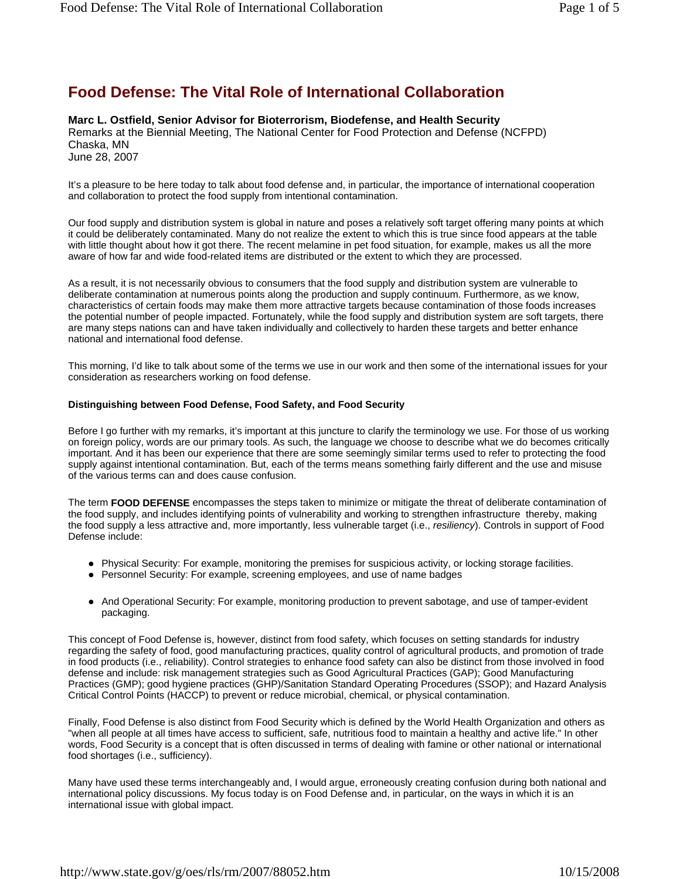# **Food Defense: The Vital Role of International Collaboration**

## **Marc L. Ostfield, Senior Advisor for Bioterrorism, Biodefense, and Health Security**

Remarks at the Biennial Meeting, The National Center for Food Protection and Defense (NCFPD) Chaska, MN June 28, 2007

It's a pleasure to be here today to talk about food defense and, in particular, the importance of international cooperation and collaboration to protect the food supply from intentional contamination.

Our food supply and distribution system is global in nature and poses a relatively soft target offering many points at which it could be deliberately contaminated. Many do not realize the extent to which this is true since food appears at the table with little thought about how it got there. The recent melamine in pet food situation, for example, makes us all the more aware of how far and wide food-related items are distributed or the extent to which they are processed.

As a result, it is not necessarily obvious to consumers that the food supply and distribution system are vulnerable to deliberate contamination at numerous points along the production and supply continuum. Furthermore, as we know, characteristics of certain foods may make them more attractive targets because contamination of those foods increases the potential number of people impacted. Fortunately, while the food supply and distribution system are soft targets, there are many steps nations can and have taken individually and collectively to harden these targets and better enhance national and international food defense.

This morning, I'd like to talk about some of the terms we use in our work and then some of the international issues for your consideration as researchers working on food defense.

### **Distinguishing between Food Defense, Food Safety, and Food Security**

Before I go further with my remarks, it's important at this juncture to clarify the terminology we use. For those of us working on foreign policy, words are our primary tools. As such, the language we choose to describe what we do becomes critically important. And it has been our experience that there are some seemingly similar terms used to refer to protecting the food supply against intentional contamination. But, each of the terms means something fairly different and the use and misuse of the various terms can and does cause confusion.

The term **FOOD DEFENSE** encompasses the steps taken to minimize or mitigate the threat of deliberate contamination of the food supply, and includes identifying points of vulnerability and working to strengthen infrastructure thereby, making the food supply a less attractive and, more importantly, less vulnerable target (i.e., *resiliency*). Controls in support of Food Defense include:

- Physical Security: For example, monitoring the premises for suspicious activity, or locking storage facilities.
- Personnel Security: For example, screening employees, and use of name badges
- And Operational Security: For example, monitoring production to prevent sabotage, and use of tamper-evident packaging.

This concept of Food Defense is, however, distinct from food safety, which focuses on setting standards for industry regarding the safety of food, good manufacturing practices, quality control of agricultural products, and promotion of trade in food products (i.e., *r*eliability). Control strategies to enhance food safety can also be distinct from those involved in food defense and include: risk management strategies such as Good Agricultural Practices (GAP); Good Manufacturing Practices (GMP); good hygiene practices (GHP)/Sanitation Standard Operating Procedures (SSOP); and Hazard Analysis Critical Control Points (HACCP) to prevent or reduce microbial, chemical, or physical contamination.

Finally, Food Defense is also distinct from Food Security which is defined by the World Health Organization and others as "when all people at all times have access to sufficient, safe, nutritious food to maintain a healthy and active life." In other words, Food Security is a concept that is often discussed in terms of dealing with famine or other national or international food shortages (i.e., sufficiency).

Many have used these terms interchangeably and, I would argue, erroneously creating confusion during both national and international policy discussions. My focus today is on Food Defense and, in particular, on the ways in which it is an international issue with global impact.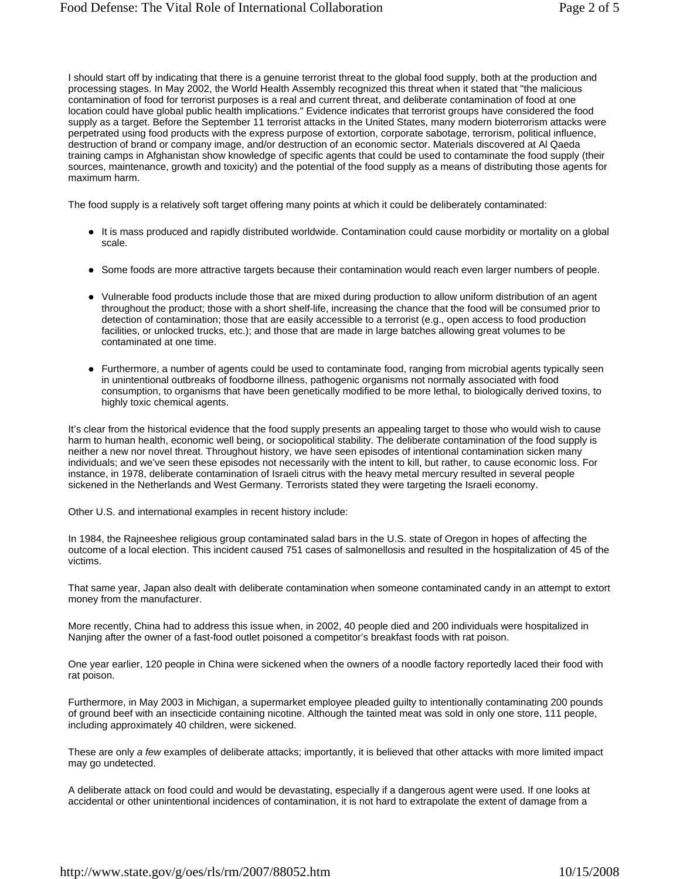I should start off by indicating that there is a genuine terrorist threat to the global food supply, both at the production and processing stages. In May 2002, the World Health Assembly recognized this threat when it stated that "the malicious contamination of food for terrorist purposes is a real and current threat, and deliberate contamination of food at one location could have global public health implications." Evidence indicates that terrorist groups have considered the food supply as a target. Before the September 11 terrorist attacks in the United States, many modern bioterrorism attacks were perpetrated using food products with the express purpose of extortion, corporate sabotage, terrorism, political influence, destruction of brand or company image, and/or destruction of an economic sector. Materials discovered at Al Qaeda training camps in Afghanistan show knowledge of specific agents that could be used to contaminate the food supply (their sources, maintenance, growth and toxicity) and the potential of the food supply as a means of distributing those agents for maximum harm.

The food supply is a relatively soft target offering many points at which it could be deliberately contaminated:

- It is mass produced and rapidly distributed worldwide. Contamination could cause morbidity or mortality on a global scale.
- Some foods are more attractive targets because their contamination would reach even larger numbers of people.
- Vulnerable food products include those that are mixed during production to allow uniform distribution of an agent throughout the product; those with a short shelf-life, increasing the chance that the food will be consumed prior to detection of contamination; those that are easily accessible to a terrorist (e.g., open access to food production facilities, or unlocked trucks, etc.); and those that are made in large batches allowing great volumes to be contaminated at one time.
- Furthermore, a number of agents could be used to contaminate food, ranging from microbial agents typically seen in unintentional outbreaks of foodborne illness, pathogenic organisms not normally associated with food consumption, to organisms that have been genetically modified to be more lethal, to biologically derived toxins, to highly toxic chemical agents.

It's clear from the historical evidence that the food supply presents an appealing target to those who would wish to cause harm to human health, economic well being, or sociopolitical stability. The deliberate contamination of the food supply is neither a new nor novel threat. Throughout history, we have seen episodes of intentional contamination sicken many individuals; and we've seen these episodes not necessarily with the intent to kill, but rather, to cause economic loss. For instance, in 1978, deliberate contamination of Israeli citrus with the heavy metal mercury resulted in several people sickened in the Netherlands and West Germany. Terrorists stated they were targeting the Israeli economy.

Other U.S. and international examples in recent history include:

In 1984, the Rajneeshee religious group contaminated salad bars in the U.S. state of Oregon in hopes of affecting the outcome of a local election. This incident caused 751 cases of salmonellosis and resulted in the hospitalization of 45 of the victims.

That same year, Japan also dealt with deliberate contamination when someone contaminated candy in an attempt to extort money from the manufacturer.

More recently, China had to address this issue when, in 2002, 40 people died and 200 individuals were hospitalized in Nanjing after the owner of a fast-food outlet poisoned a competitor's breakfast foods with rat poison.

One year earlier, 120 people in China were sickened when the owners of a noodle factory reportedly laced their food with rat poison.

Furthermore, in May 2003 in Michigan, a supermarket employee pleaded guilty to intentionally contaminating 200 pounds of ground beef with an insecticide containing nicotine. Although the tainted meat was sold in only one store, 111 people, including approximately 40 children, were sickened.

These are only *a few* examples of deliberate attacks; importantly, it is believed that other attacks with more limited impact may go undetected.

A deliberate attack on food could and would be devastating, especially if a dangerous agent were used. If one looks at accidental or other unintentional incidences of contamination, it is not hard to extrapolate the extent of damage from a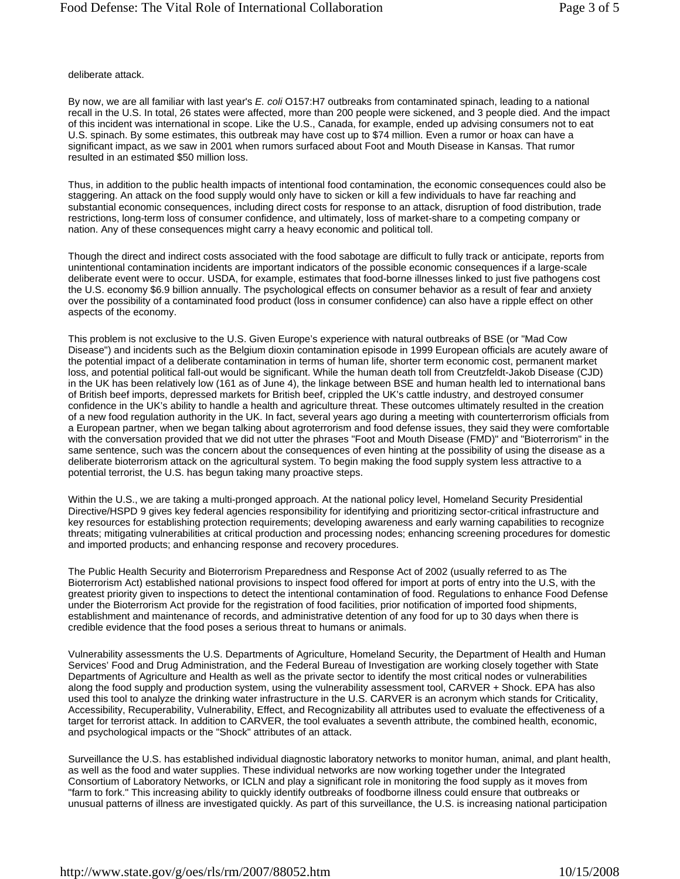#### deliberate attack.

By now, we are all familiar with last year's *E. coli* O157:H7 outbreaks from contaminated spinach, leading to a national recall in the U.S. In total, 26 states were affected, more than 200 people were sickened, and 3 people died. And the impact of this incident was international in scope. Like the U.S., Canada, for example, ended up advising consumers not to eat U.S. spinach. By some estimates, this outbreak may have cost up to \$74 million. Even a rumor or hoax can have a significant impact, as we saw in 2001 when rumors surfaced about Foot and Mouth Disease in Kansas. That rumor resulted in an estimated \$50 million loss.

Thus, in addition to the public health impacts of intentional food contamination, the economic consequences could also be staggering. An attack on the food supply would only have to sicken or kill a few individuals to have far reaching and substantial economic consequences, including direct costs for response to an attack, disruption of food distribution, trade restrictions, long-term loss of consumer confidence, and ultimately, loss of market-share to a competing company or nation. Any of these consequences might carry a heavy economic and political toll.

Though the direct and indirect costs associated with the food sabotage are difficult to fully track or anticipate, reports from unintentional contamination incidents are important indicators of the possible economic consequences if a large-scale deliberate event were to occur. USDA, for example, estimates that food-borne illnesses linked to just five pathogens cost the U.S. economy \$6.9 billion annually. The psychological effects on consumer behavior as a result of fear and anxiety over the possibility of a contaminated food product (loss in consumer confidence) can also have a ripple effect on other aspects of the economy.

This problem is not exclusive to the U.S. Given Europe's experience with natural outbreaks of BSE (or "Mad Cow Disease") and incidents such as the Belgium dioxin contamination episode in 1999 European officials are acutely aware of the potential impact of a deliberate contamination in terms of human life, shorter term economic cost, permanent market loss, and potential political fall-out would be significant. While the human death toll from Creutzfeldt-Jakob Disease (CJD) in the UK has been relatively low (161 as of June 4), the linkage between BSE and human health led to international bans of British beef imports, depressed markets for British beef, crippled the UK's cattle industry, and destroyed consumer confidence in the UK's ability to handle a health and agriculture threat. These outcomes ultimately resulted in the creation of a new food regulation authority in the UK. In fact, several years ago during a meeting with counterterrorism officials from a European partner, when we began talking about agroterrorism and food defense issues, they said they were comfortable with the conversation provided that we did not utter the phrases "Foot and Mouth Disease (FMD)" and "Bioterrorism" in the same sentence, such was the concern about the consequences of even hinting at the possibility of using the disease as a deliberate bioterrorism attack on the agricultural system. To begin making the food supply system less attractive to a potential terrorist, the U.S. has begun taking many proactive steps.

Within the U.S., we are taking a multi-pronged approach. At the national policy level, Homeland Security Presidential Directive/HSPD 9 gives key federal agencies responsibility for identifying and prioritizing sector-critical infrastructure and key resources for establishing protection requirements; developing awareness and early warning capabilities to recognize threats; mitigating vulnerabilities at critical production and processing nodes; enhancing screening procedures for domestic and imported products; and enhancing response and recovery procedures.

The Public Health Security and Bioterrorism Preparedness and Response Act of 2002 (usually referred to as The Bioterrorism Act) established national provisions to inspect food offered for import at ports of entry into the U.S, with the greatest priority given to inspections to detect the intentional contamination of food. Regulations to enhance Food Defense under the Bioterrorism Act provide for the registration of food facilities, prior notification of imported food shipments, establishment and maintenance of records, and administrative detention of any food for up to 30 days when there is credible evidence that the food poses a serious threat to humans or animals.

Vulnerability assessments the U.S. Departments of Agriculture, Homeland Security, the Department of Health and Human Services' Food and Drug Administration, and the Federal Bureau of Investigation are working closely together with State Departments of Agriculture and Health as well as the private sector to identify the most critical nodes or vulnerabilities along the food supply and production system, using the vulnerability assessment tool, CARVER + Shock. EPA has also used this tool to analyze the drinking water infrastructure in the U.S. CARVER is an acronym which stands for Criticality, Accessibility, Recuperability, Vulnerability, Effect, and Recognizability all attributes used to evaluate the effectiveness of a target for terrorist attack. In addition to CARVER, the tool evaluates a seventh attribute, the combined health, economic, and psychological impacts or the "Shock" attributes of an attack.

Surveillance the U.S. has established individual diagnostic laboratory networks to monitor human, animal, and plant health, as well as the food and water supplies. These individual networks are now working together under the Integrated Consortium of Laboratory Networks, or ICLN and play a significant role in monitoring the food supply as it moves from "farm to fork." This increasing ability to quickly identify outbreaks of foodborne illness could ensure that outbreaks or unusual patterns of illness are investigated quickly. As part of this surveillance, the U.S. is increasing national participation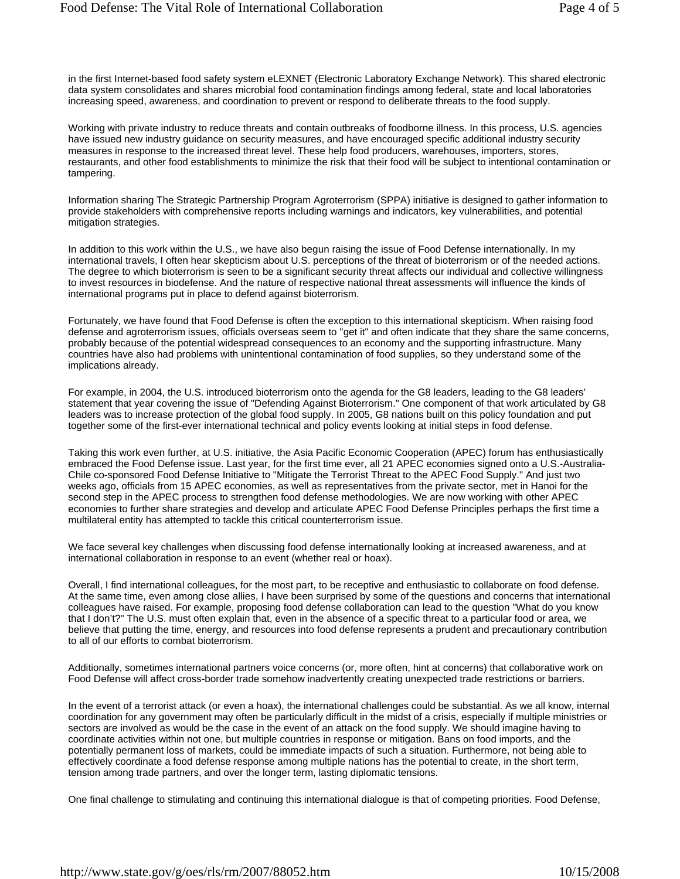in the first Internet-based food safety system eLEXNET (Electronic Laboratory Exchange Network). This shared electronic data system consolidates and shares microbial food contamination findings among federal, state and local laboratories increasing speed, awareness, and coordination to prevent or respond to deliberate threats to the food supply.

Working with private industry to reduce threats and contain outbreaks of foodborne illness. In this process, U.S. agencies have issued new industry guidance on security measures, and have encouraged specific additional industry security measures in response to the increased threat level. These help food producers, warehouses, importers, stores, restaurants, and other food establishments to minimize the risk that their food will be subject to intentional contamination or tampering.

Information sharing The Strategic Partnership Program Agroterrorism (SPPA) initiative is designed to gather information to provide stakeholders with comprehensive reports including warnings and indicators, key vulnerabilities, and potential mitigation strategies.

In addition to this work within the U.S., we have also begun raising the issue of Food Defense internationally. In my international travels, I often hear skepticism about U.S. perceptions of the threat of bioterrorism or of the needed actions. The degree to which bioterrorism is seen to be a significant security threat affects our individual and collective willingness to invest resources in biodefense. And the nature of respective national threat assessments will influence the kinds of international programs put in place to defend against bioterrorism.

Fortunately, we have found that Food Defense is often the exception to this international skepticism. When raising food defense and agroterrorism issues, officials overseas seem to "get it" and often indicate that they share the same concerns, probably because of the potential widespread consequences to an economy and the supporting infrastructure. Many countries have also had problems with unintentional contamination of food supplies, so they understand some of the implications already.

For example, in 2004, the U.S. introduced bioterrorism onto the agenda for the G8 leaders, leading to the G8 leaders' statement that year covering the issue of "Defending Against Bioterrorism." One component of that work articulated by G8 leaders was to increase protection of the global food supply. In 2005, G8 nations built on this policy foundation and put together some of the first-ever international technical and policy events looking at initial steps in food defense.

Taking this work even further, at U.S. initiative, the Asia Pacific Economic Cooperation (APEC) forum has enthusiastically embraced the Food Defense issue. Last year, for the first time ever, all 21 APEC economies signed onto a U.S.-Australia-Chile co-sponsored Food Defense Initiative to "Mitigate the Terrorist Threat to the APEC Food Supply." And just two weeks ago, officials from 15 APEC economies, as well as representatives from the private sector, met in Hanoi for the second step in the APEC process to strengthen food defense methodologies. We are now working with other APEC economies to further share strategies and develop and articulate APEC Food Defense Principles perhaps the first time a multilateral entity has attempted to tackle this critical counterterrorism issue.

We face several key challenges when discussing food defense internationally looking at increased awareness, and at international collaboration in response to an event (whether real or hoax).

Overall, I find international colleagues, for the most part, to be receptive and enthusiastic to collaborate on food defense. At the same time, even among close allies, I have been surprised by some of the questions and concerns that international colleagues have raised. For example, proposing food defense collaboration can lead to the question "What do you know that I don't?" The U.S. must often explain that, even in the absence of a specific threat to a particular food or area, we believe that putting the time, energy, and resources into food defense represents a prudent and precautionary contribution to all of our efforts to combat bioterrorism.

Additionally, sometimes international partners voice concerns (or, more often, hint at concerns) that collaborative work on Food Defense will affect cross-border trade somehow inadvertently creating unexpected trade restrictions or barriers.

In the event of a terrorist attack (or even a hoax), the international challenges could be substantial. As we all know, internal coordination for any government may often be particularly difficult in the midst of a crisis, especially if multiple ministries or sectors are involved as would be the case in the event of an attack on the food supply. We should imagine having to coordinate activities within not one, but multiple countries in response or mitigation. Bans on food imports, and the potentially permanent loss of markets, could be immediate impacts of such a situation. Furthermore, not being able to effectively coordinate a food defense response among multiple nations has the potential to create, in the short term, tension among trade partners, and over the longer term, lasting diplomatic tensions.

One final challenge to stimulating and continuing this international dialogue is that of competing priorities. Food Defense,